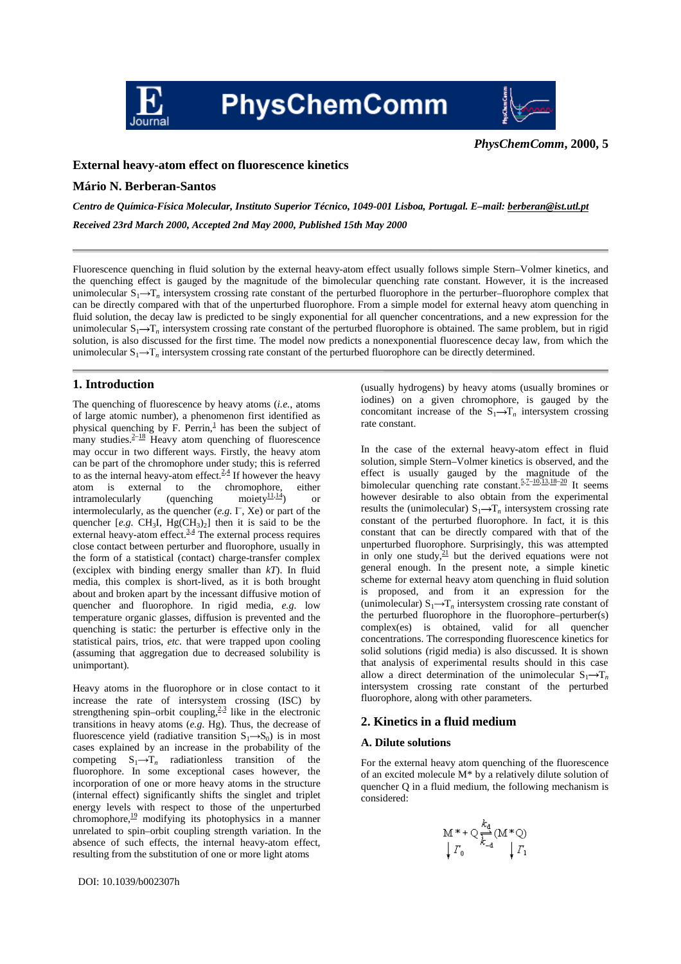

**PhysChemComm** 



*PhysChemComm***, 2000, 5**

# **External heavy-atom effect on fluorescence kinetics**

## **Mário N. Berberan-Santos**

*Centro de Química-Física Molecular, Instituto Superior Técnico, 1049-001 Lisboa, Portugal. E–mail: berberan@ist.utl.pt Received 23rd March 2000, Accepted 2nd May 2000, Published 15th May 2000*

Fluorescence quenching in fluid solution by the external heavy-atom effect usually follows simple Stern–Volmer kinetics, and the quenching effect is gauged by the magnitude of the bimolecular quenching rate constant. However, it is the increased unimolecular  $S_1 \rightarrow T_n$  intersystem crossing rate constant of the perturbed fluorophore in the perturber–fluorophore complex that can be directly compared with that of the unperturbed fluorophore. From a simple model for external heavy atom quenching in fluid solution, the decay law is predicted to be singly exponential for all quencher concentrations, and a new expression for the unimolecular  $S_1 \rightarrow T_n$  intersystem crossing rate constant of the perturbed fluorophore is obtained. The same problem, but in rigid solution, is also discussed for the first time. The model now predicts a nonexponential fluorescence decay law, from which the unimolecular  $S_1 \rightarrow T_n$  intersystem crossing rate constant of the perturbed fluorophore can be directly determined.

## **1. Introduction**

The quenching of fluorescence by heavy atoms (*i.e.*, atoms of large atomic number), a phenomenon first identified as physical quenching by F. Perrin, $\frac{1}{2}$  has been the subject of many studies. $2-18$  Heavy atom quenching of fluorescence may occur in two different ways. Firstly, the heavy atom can be part of the chromophore under study; this is referred to as the internal heavy-atom effect. $2.4$  If however the heavy atom is external to the chromophore, either<br>intramolecularly (quenching moiety $\frac{11.14}{2}$ ) or atom is external to the chromophore, either<br>intramolecularly (quenching moiety<sup>11,14</sup>) or intermolecularly, as the quencher (*e.g.* I– , Xe) or part of the quencher  $[e.g. \text{CH}_3\text{I}, \text{Hg}(\text{CH}_3)_2]$  then it is said to be the external heavy-atom effect. $3.4$  The external process requires close contact between perturber and fluorophore, usually in the form of a statistical (contact) charge-transfer complex (exciplex with binding energy smaller than *kT*). In fluid media, this complex is short-lived, as it is both brought about and broken apart by the incessant diffusive motion of quencher and fluorophore. In rigid media, *e.g.* low temperature organic glasses, diffusion is prevented and the quenching is static: the perturber is effective only in the statistical pairs, trios, *etc.* that were trapped upon cooling (assuming that aggregation due to decreased solubility is unimportant).

Heavy atoms in the fluorophore or in close contact to it increase the rate of intersystem crossing (ISC) by strengthening spin–orbit coupling, $2.3$  like in the electronic transitions in heavy atoms (*e.g.* Hg). Thus, the decrease of fluorescence vield (radiative transition  $S_1 \rightarrow S_0$ ) is in most cases explained by an increase in the probability of the competing  $S_1 \rightarrow T_n$  radiationless transition of the fluorophore. In some exceptional cases however, the incorporation of one or more heavy atoms in the structure (internal effect) significantly shifts the singlet and triplet energy levels with respect to those of the unperturbed chromophore, $\frac{19}{12}$  modifying its photophysics in a manner unrelated to spin–orbit coupling strength variation. In the absence of such effects, the internal heavy-atom effect, resulting from the substitution of one or more light atoms

(usually hydrogens) by heavy atoms (usually bromines or iodines) on a given chromophore, is gauged by the concomitant increase of the  $S_1 \rightarrow T_n$  intersystem crossing rate constant.

In the case of the external heavy-atom effect in fluid solution, simple Stern–Volmer kinetics is observed, and the effect is usually gauged by the magnitude of the bimolecular quenching rate constant. $5.7-10.13,18-20$  It seems however desirable to also obtain from the experimental results the (unimolecular)  $S_1 \rightarrow T_n$  intersystem crossing rate constant of the perturbed fluorophore. In fact, it is this constant that can be directly compared with that of the unperturbed fluorophore. Surprisingly, this was attempted in only one study, $21$  but the derived equations were not general enough. In the present note, a simple kinetic scheme for external heavy atom quenching in fluid solution is proposed, and from it an expression for the (unimolecular)  $S_1 \rightarrow T_n$  intersystem crossing rate constant of the perturbed fluorophore in the fluorophore–perturber(s) complex(es) is obtained, valid for all quencher concentrations. The corresponding fluorescence kinetics for solid solutions (rigid media) is also discussed. It is shown that analysis of experimental results should in this case allow a direct determination of the unimolecular  $S_1 \rightarrow T_n$ intersystem crossing rate constant of the perturbed fluorophore, along with other parameters.

## **2. Kinetics in a fluid medium**

### **A. Dilute solutions**

For the external heavy atom quenching of the fluorescence of an excited molecule M\* by a relatively dilute solution of quencher Q in a fluid medium, the following mechanism is considered:

$$
\begin{array}{c}\n M \ast + \bigcirc \frac{k_{\mathrm{d}}}{k_{\mathrm{d}}} (\mathbf{M} \ast \bigcirc) \\
\downarrow \Gamma_0 \qquad \qquad + \Gamma_1\n \end{array}
$$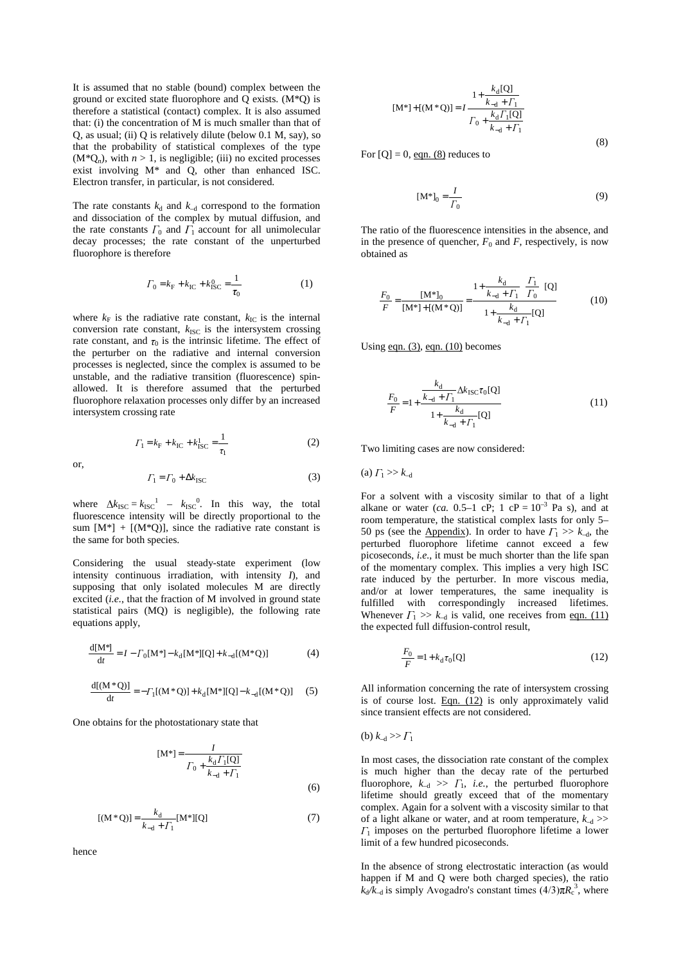It is assumed that no stable (bound) complex between the ground or excited state fluorophore and Q exists. (M\*Q) is therefore a statistical (contact) complex. It is also assumed that: (i) the concentration of M is much smaller than that of Q, as usual; (ii) Q is relatively dilute (below 0.1 M, say), so that the probability of statistical complexes of the type  $(M^*Q_n)$ , with  $n > 1$ , is negligible; (iii) no excited processes exist involving M\* and Q, other than enhanced ISC. Electron transfer, in particular, is not considered.

The rate constants  $k_d$  and  $k_{-d}$  correspond to the formation and dissociation of the complex by mutual diffusion, and the rate constants  $\Gamma_0$  and  $\Gamma_1$  account for all unimolecular decay processes; the rate constant of the unperturbed fluorophore is therefore

$$
\Gamma_0 = k_{\rm F} + k_{\rm IC} + k_{\rm ISC}^0 = \frac{1}{\tau_0} \tag{1}
$$

where  $k_F$  is the radiative rate constant,  $k_{IC}$  is the internal conversion rate constant,  $k_{\text{ISC}}$  is the intersystem crossing rate constant, and  $\tau_0$  is the intrinsic lifetime. The effect of the perturber on the radiative and internal conversion processes is neglected, since the complex is assumed to be unstable, and the radiative transition (fluorescence) spinallowed. It is therefore assumed that the perturbed fluorophore relaxation processes only differ by an increased intersystem crossing rate

$$
\Gamma_1 = k_{\rm F} + k_{\rm IC} + k_{\rm ISC}^1 = \frac{1}{\tau_1} \tag{2}
$$

or,

$$
\Gamma_1 = \Gamma_0 + \Delta k_{\text{ISC}} \tag{3}
$$

where  $\Delta k_{\text{ISC}} = k_{\text{ISC}}^1 - k_{\text{ISC}}^0$ . In this way, the total fluorescence intensity will be directly proportional to the sum  $[M^*] + [(M^*Q)]$ , since the radiative rate constant is the same for both species.

Considering the usual steady-state experiment (low intensity continuous irradiation, with intensity *I*), and supposing that only isolated molecules M are directly excited (*i.e.*, that the fraction of M involved in ground state statistical pairs (MQ) is negligible), the following rate equations apply,

$$
\frac{d[M^*]}{dt} = I - \Gamma_0[M^*] - k_d[M^*][Q] + k_{-d}[(M^*Q)] \tag{4}
$$

$$
\frac{d[(M^*Q)]}{dt} = -\Gamma_1[(M^*Q)] + k_d[M^*][Q] - k_{-d}[(M^*Q)] \tag{5}
$$

One obtains for the photostationary state that

$$
[\mathbf{M}^*] = \frac{I}{\Gamma_0 + \frac{k_d \Gamma_1 [\mathbf{Q}]}{k_{-d} + \Gamma_1}}
$$
(6)

$$
[(M * Q)] = \frac{k_d}{k_{-d} + \Gamma_1} [M^*][Q] \tag{7}
$$

hence

$$
[M^*]+[(M^*Q)] = I \frac{1 + \frac{k_d[Q]}{k_{-d} + \Gamma_1}}{\Gamma_0 + \frac{k_d \Gamma_1[Q]}{k_{-d} + \Gamma_1}}
$$
(8)

For  $[Q] = 0$ , eqn. (8) reduces to

$$
\left[\mathbf{M}^*\right]_0 = \frac{I}{\Gamma_0} \tag{9}
$$

The ratio of the fluorescence intensities in the absence, and in the presence of quencher,  $F_0$  and  $F$ , respectively, is now obtained as

$$
\frac{F_0}{F} = \frac{[M^*]}{[M^*] + [(M^*Q)]} = \frac{1 + \frac{k_d}{k_{-d} + \Gamma_1} \left(\frac{\Gamma_1}{\Gamma_0}\right) [Q]}{1 + \frac{k_d}{k_{-d} + \Gamma_1} [Q]}
$$
(10)

Using eqn.  $(3)$ , eqn.  $(10)$  becomes

$$
\frac{F_0}{F} = 1 + \frac{\frac{k_d}{k_{-d} + \Gamma_1} \Delta k_{\text{ISC}} \tau_0 [Q]}{1 + \frac{k_d}{k_{-d} + \Gamma_1} [Q]}
$$
(11)

Two limiting cases are now considered:

 $(a)$   $\Gamma_1 >> k_{-d}$ 

For a solvent with a viscosity similar to that of a light alkane or water (*ca.* 0.5–1 cP; 1 cP =  $10^{-3}$  Pa s), and at room temperature, the statistical complex lasts for only 5– 50 ps (see the Appendix). In order to have  $\Gamma_1 \gg k_{-d}$ , the perturbed fluorophore lifetime cannot exceed a few picoseconds, *i.e.*, it must be much shorter than the life span of the momentary complex. This implies a very high ISC rate induced by the perturber. In more viscous media, and/or at lower temperatures, the same inequality is fulfilled with correspondingly increased lifetimes. Whenever  $\Gamma_1 \gg k_{-d}$  is valid, one receives from eqn. (11) the expected full diffusion-control result,

$$
\frac{F_0}{F} = 1 + k_d \tau_0 [Q]
$$
 (12)

All information concerning the rate of intersystem crossing is of course lost. Eqn.  $(12)$  is only approximately valid since transient effects are not considered.

(b)  $k_{-d} >> \Gamma_1$ 

In most cases, the dissociation rate constant of the complex is much higher than the decay rate of the perturbed fluorophore,  $k_{-d} \gg \Gamma_1$ , *i.e.*, the perturbed fluorophore lifetime should greatly exceed that of the momentary complex. Again for a solvent with a viscosity similar to that of a light alkane or water, and at room temperature,  $k_{-d}$  >>  $\Gamma_1$  imposes on the perturbed fluorophore lifetime a lower limit of a few hundred picoseconds.

In the absence of strong electrostatic interaction (as would happen if M and Q were both charged species), the ratio  $k_d/k_d$  is simply Avogadro's constant times  $(4/3)\pi R_c^3$ , where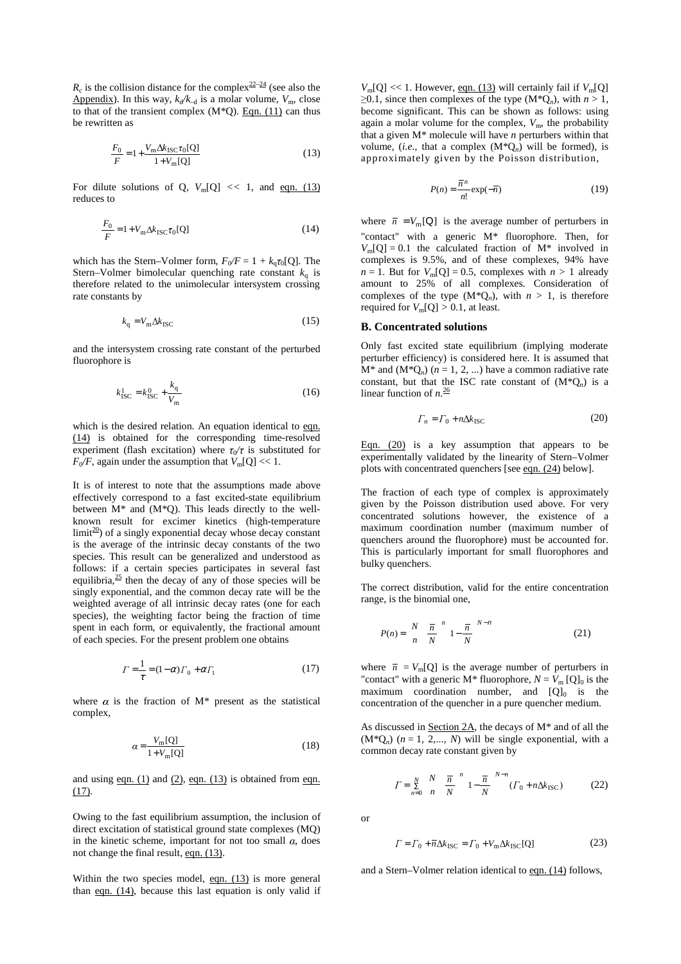$R_c$  is the collision distance for the complex<sup>22–24</sup> (see also the Appendix). In this way,  $k_d/k_d$  is a molar volume,  $V_m$ , close to that of the transient complex  $(M*Q)$ . Eqn. (11) can thus be rewritten as

$$
\frac{F_0}{F} = 1 + \frac{V_m \Delta k_{\text{ISC}} \tau_0 [Q]}{1 + V_m [Q]}
$$
(13)

For dilute solutions of Q,  $V_m[Q] \ll 1$ , and eqn. (13) reduces to

$$
\frac{F_0}{F} = 1 + V_{\rm m} \Delta k_{\rm ISC} \tau_0 [Q] \tag{14}
$$

which has the Stern–Volmer form,  $F_0/F = 1 + k_q \tau_0[Q]$ . The Stern–Volmer bimolecular quenching rate constant  $k<sub>o</sub>$  is therefore related to the unimolecular intersystem crossing rate constants by

$$
k_{\rm q} = V_{\rm m} \Delta k_{\rm ISC} \tag{15}
$$

and the intersystem crossing rate constant of the perturbed fluorophore is

$$
k_{\rm{ISC}}^1 = k_{\rm{ISC}}^0 + \frac{k_{\rm{q}}}{V_{\rm{m}}} \tag{16}
$$

which is the desired relation. An equation identical to eqn. (14) is obtained for the corresponding time-resolved experiment (flash excitation) where  $\tau_{0}/\tau$  is substituted for  $F_0/F$ , again under the assumption that  $V_m[Q] \ll 1$ .

It is of interest to note that the assumptions made above effectively correspond to a fast excited-state equilibrium between  $M^*$  and  $(M^*O)$ . This leads directly to the wellknown result for excimer kinetics (high-temperature  $\limit^{\frac{20}{20}}$  of a singly exponential decay whose decay constant is the average of the intrinsic decay constants of the two species. This result can be generalized and understood as follows: if a certain species participates in several fast equilibria, $\frac{25}{5}$  then the decay of any of those species will be singly exponential, and the common decay rate will be the weighted average of all intrinsic decay rates (one for each species), the weighting factor being the fraction of time spent in each form, or equivalently, the fractional amount of each species. For the present problem one obtains

$$
\Gamma = \frac{1}{\tau} = (1 - \alpha)\Gamma_0 + \alpha\Gamma_1 \tag{17}
$$

where  $\alpha$  is the fraction of M\* present as the statistical complex,

$$
\alpha = \frac{V_{\text{m}}[Q]}{1 + V_{\text{m}}[Q]}
$$
(18)

and using eqn.  $(1)$  and  $(2)$ , eqn.  $(13)$  is obtained from eqn.  $(17)$ .

Owing to the fast equilibrium assumption, the inclusion of direct excitation of statistical ground state complexes (MQ) in the kinetic scheme, important for not too small  $\alpha$ , does not change the final result, eqn. (13).

Within the two species model,  $eqn. (13)$  is more general than  $eqn. (14)$ , because this last equation is only valid if  $V_m[Q] \ll 1$ . However, eqn. (13) will certainly fail if  $V_m[Q]$  $\geq$ 0.1, since then complexes of the type (M<sup>\*</sup>Q<sub>n</sub>), with  $n > 1$ , become significant. This can be shown as follows: using again a molar volume for the complex,  $V_{\text{m}}$ , the probability that a given M\* molecule will have *n* perturbers within that volume, (*i.e.*, that a complex  $(M^*Q_n)$  will be formed), is approximately given by the Poisson distribution,

$$
P(n) = \frac{\overline{n}^n}{n!} \exp(-\overline{n})
$$
 (19)

where  $\bar{n} = V_m[Q]$  is the average number of perturbers in "contact" with a generic M\* fluorophore. Then, for  $V<sub>m</sub>[Q] = 0.1$  the calculated fraction of  $M^*$  involved in complexes is 9.5%, and of these complexes, 94% have  $n = 1$ . But for  $V_m[Q] = 0.5$ , complexes with  $n > 1$  already amount to 25% of all complexes. Consideration of complexes of the type  $(M^*Q_n)$ , with  $n > 1$ , is therefore required for  $V_m[Q] > 0.1$ , at least.

### **B. Concentrated solutions**

Only fast excited state equilibrium (implying moderate perturber efficiency) is considered here. It is assumed that  $M^*$  and  $(M^*Q_n)$   $(n = 1, 2, ...)$  have a common radiative rate constant, but that the ISC rate constant of  $(M^*Q_n)$  is a linear function of *n*. 26

$$
\Gamma_n = \Gamma_0 + n\Delta k_{\text{ISC}} \tag{20}
$$

Eqn. (20) is a key assumption that appears to be experimentally validated by the linearity of Stern–Volmer plots with concentrated quenchers [see eqn. (24) below].

The fraction of each type of complex is approximately given by the Poisson distribution used above. For very concentrated solutions however, the existence of a maximum coordination number (maximum number of quenchers around the fluorophore) must be accounted for. This is particularly important for small fluorophores and bulky quenchers.

The correct distribution, valid for the entire concentration range, is the binomial one,

$$
P(n) = \left(\frac{N}{n}\right)\frac{\overline{n}}{N}\int_{1}^{n} \left(1 - \frac{\overline{n}}{N}\right)^{N-n} \tag{21}
$$

where  $\bar{n} = V_{\text{m}}[Q]$  is the average number of perturbers in "contact" with a generic  $M^*$  fluorophore,  $N = V_m [Q]_0$  is the maximum coordination number, and  $[Q]_0$  is the concentration of the quencher in a pure quencher medium.

As discussed in Section 2A, the decays of M\* and of all the  $(M^*Q_n)$  ( $n = 1, 2,..., N$ ) will be single exponential, with a common decay rate constant given by

 $\Gamma = \sum_{n=0}^{\infty} \binom{n}{n} \frac{n}{N} \left[ 1 - \frac{n}{N} \right] \quad (\Gamma_0 + n \Delta k_{\text{ISC}})$ *n N n n N*  $\left(N\right)$   $\overline{n}$   $\left(\begin{matrix}n \\ n\end{matrix}\right)^{N-n}$  $\sum_{n=0}^{N} {N \choose n} \left( \frac{\overline{n}}{N} \right)^n \left( 1 - \frac{\overline{n}}{N} \right)^{N-n} (r_0 +$ í I  $\overline{1}$ Ì I l  $=\sum_{k=1}^{N} \left(\frac{N}{n}\right)^{n} \left(\frac{\overline{n}}{1-\frac{\overline{n}}{n}}\right)^{N-k}$ ∑ = (22)

or

$$
\Gamma = \Gamma_0 + \overline{n} \Delta k_{\text{ISC}} = \Gamma_0 + V_{\text{m}} \Delta k_{\text{ISC}}[Q] \tag{23}
$$

and a Stern–Volmer relation identical to eqn. (14) follows,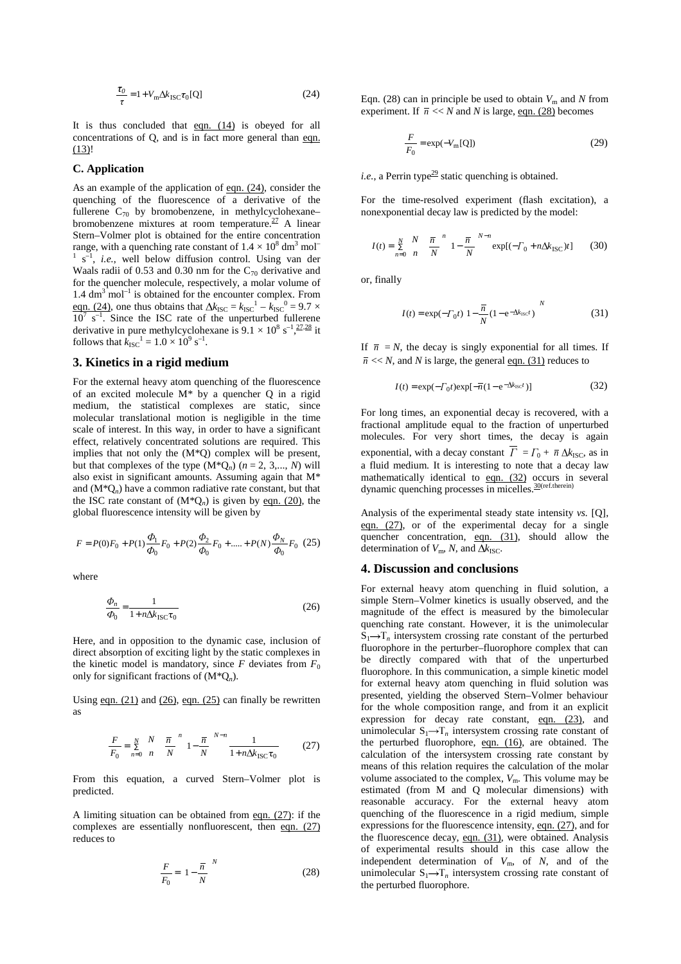$$
\frac{\tau_0}{\tau} = 1 + V_{\text{m}} \Delta k_{\text{ISC}} \tau_0 \text{[Q]}
$$
 (24)

It is thus concluded that eqn. (14) is obeyed for all concentrations of Q, and is in fact more general than eqn. (13)!

## **C. Application**

As an example of the application of eqn. (24), consider the quenching of the fluorescence of a derivative of the fullerene  $C_{70}$  by bromobenzene, in methylcyclohexane– bromobenzene mixtures at room temperature. $27$  A linear Stern–Volmer plot is obtained for the entire concentration range, with a quenching rate constant of  $1.4 \times 10^8$  dm<sup>3</sup> mol<sup>-1</sup>  $1$  s<sup>-1</sup>, *i.e.*, well below diffusion control. Using van der Waals radii of 0.53 and 0.30 nm for the  $C_{70}$  derivative and for the quencher molecule, respectively, a molar volume of  $1.4 \text{ dm}^3 \text{ mol}^{-1}$  is obtained for the encounter complex. From eqn. (24), one thus obtains that  $\Delta k_{\text{ISC}} = k_{\text{ISC}}^1 - k_{\text{ISC}}^0 = 9.7 \times$  $10^7$  s<sup>-1</sup>. Since the ISC rate of the unperturbed fullerene derivative in pure methylcyclohexane is  $9.1 \times 10^8$  s<sup>-1</sup>,  $\frac{27,28}{ }$  it follows that  $k_{\text{ISC}}^1 = 1.0 \times 10^9 \text{ s}^{-1}$ .

#### **3. Kinetics in a rigid medium**

For the external heavy atom quenching of the fluorescence of an excited molecule M\* by a quencher Q in a rigid medium, the statistical complexes are static, since molecular translational motion is negligible in the time scale of interest. In this way, in order to have a significant effect, relatively concentrated solutions are required. This implies that not only the (M\*Q) complex will be present, but that complexes of the type  $(M^*Q_n)$   $(n = 2, 3,..., N)$  will also exist in significant amounts. Assuming again that M\* and  $(M^*Q_n)$  have a common radiative rate constant, but that the ISC rate constant of  $(M^*Q_n)$  is given by eqn. (20), the global fluorescence intensity will be given by

$$
F = P(0)F_0 + P(1)\frac{\Phi_1}{\Phi_0}F_0 + P(2)\frac{\Phi_2}{\Phi_0}F_0 + \dots + P(N)\frac{\Phi_N}{\Phi_0}F_0
$$
 (25)

where

$$
\frac{\Phi_n}{\Phi_0} = \frac{1}{1 + n\Delta k_{\text{ISC}}\tau_0}
$$
\n(26)

Here, and in opposition to the dynamic case, inclusion of direct absorption of exciting light by the static complexes in the kinetic model is mandatory, since  $F$  deviates from  $F_0$ only for significant fractions of (M\*Q*n*).

Using eqn. (21) and (26), eqn. (25) can finally be rewritten as

$$
\frac{F}{F_0} = \sum_{n=0}^{N} \binom{N}{n} \left(\frac{\overline{n}}{N}\right)^n \left(1 - \frac{\overline{n}}{N}\right)^{N-n} \frac{1}{1 + n\Delta k_{\text{ISC}}\tau_0} \tag{27}
$$

From this equation, a curved Stern–Volmer plot is predicted.

A limiting situation can be obtained from eqn. (27): if the complexes are essentially nonfluorescent, then eqn. (27) reduces to

$$
\frac{F}{F_0} = \left(1 - \frac{\overline{n}}{N}\right)^N\tag{28}
$$

Eqn. (28) can in principle be used to obtain  $V<sub>m</sub>$  and  $N$  from experiment. If  $\overline{n} \ll N$  and *N* is large, eqn. (28) becomes

$$
\frac{F}{F_0} = \exp(-V_{\rm m}[\mathbf{Q}])\tag{29}
$$

*i.e.*, a Perrin type<sup>29</sup> static quenching is obtained.

For the time-resolved experiment (flash excitation), a nonexponential decay law is predicted by the model:

$$
I(t) = \sum_{n=0}^{N} {N \choose n} \left( \frac{\overline{n}}{N} \right)^n \left( 1 - \frac{\overline{n}}{N} \right)^{N-n} \exp[(-\Gamma_0 + n\Delta k_{\text{ISC}})t] \tag{30}
$$

or, finally

$$
I(t) = \exp(-\Gamma_0 t) \left[ 1 - \frac{\overline{n}}{N} (1 - e^{-\Delta k_{\rm ISC} t}) \right]^N
$$
 (31)

If  $\bar{n} = N$ , the decay is singly exponential for all times. If  $\overline{n}$  << *N*, and *N* is large, the general eqn. (31) reduces to

$$
I(t) = \exp(-\Gamma_0 t) \exp[-\overline{n}(1 - e^{-\Delta k_{\rm ISC}t})]
$$
(32)

For long times, an exponential decay is recovered, with a fractional amplitude equal to the fraction of unperturbed molecules. For very short times, the decay is again exponential, with a decay constant  $\overline{\Gamma} = \Gamma_0 + \overline{n} \Delta k_{\text{ISC}}$ , as in a fluid medium. It is interesting to note that a decay law mathematically identical to eqn. (32) occurs in several dynamic quenching processes in micelles.<sup>30(ref.therein)</sup>

Analysis of the experimental steady state intensity *vs.* [Q], eqn. (27), or of the experimental decay for a single quencher concentration, eqn. (31), should allow the determination of  $V_m$ , N, and  $\Delta k_{\text{ISC}}$ .

## **4. Discussion and conclusions**

For external heavy atom quenching in fluid solution, a simple Stern–Volmer kinetics is usually observed, and the magnitude of the effect is measured by the bimolecular quenching rate constant. However, it is the unimolecular  $S_1 \rightarrow T_n$  intersystem crossing rate constant of the perturbed fluorophore in the perturber–fluorophore complex that can be directly compared with that of the unperturbed fluorophore. In this communication, a simple kinetic model for external heavy atom quenching in fluid solution was presented, yielding the observed Stern–Volmer behaviour for the whole composition range, and from it an explicit expression for decay rate constant,  $eqn. (23)$ , and unimolecular  $S_1 \rightarrow T_n$  intersystem crossing rate constant of the perturbed fluorophore, eqn. (16), are obtained. The calculation of the intersystem crossing rate constant by means of this relation requires the calculation of the molar volume associated to the complex,  $V_m$ . This volume may be estimated (from M and Q molecular dimensions) with reasonable accuracy. For the external heavy atom quenching of the fluorescence in a rigid medium, simple expressions for the fluorescence intensity, eqn. (27), and for the fluorescence decay, eqn.  $(31)$ , were obtained. Analysis of experimental results should in this case allow the independent determination of  $V_m$ , of  $N$ , and of the unimolecular  $S_1 \rightarrow T_n$  intersystem crossing rate constant of the perturbed fluorophore.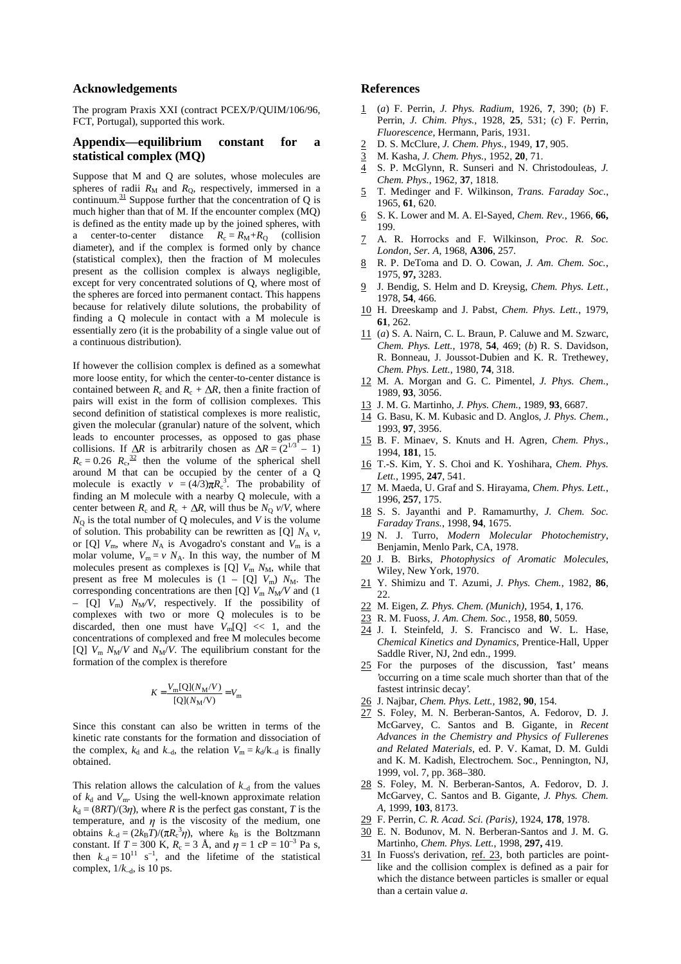### **Acknowledgements**

The program Praxis XXI (contract PCEX/P/QUIM/106/96, FCT, Portugal), supported this work.

# **Appendix—equilibrium constant for a statistical complex (MQ)**

Suppose that M and Q are solutes, whose molecules are spheres of radii  $R_M$  and  $R_O$ , respectively, immersed in a continuum. $31$  Suppose further that the concentration of Q is much higher than that of M. If the encounter complex (MQ) is defined as the entity made up by the joined spheres, with a center-to-center distance  $R_c = R_M + R_Q$  (collision diameter), and if the complex is formed only by chance (statistical complex), then the fraction of M molecules present as the collision complex is always negligible, except for very concentrated solutions of Q, where most of the spheres are forced into permanent contact. This happens because for relatively dilute solutions, the probability of finding a Q molecule in contact with a M molecule is essentially zero (it is the probability of a single value out of a continuous distribution).

If however the collision complex is defined as a somewhat more loose entity, for which the center-to-center distance is contained between  $R_c$  and  $R_c + \Delta R$ , then a finite fraction of pairs will exist in the form of collision complexes. This second definition of statistical complexes is more realistic, given the molecular (granular) nature of the solvent, which leads to encounter processes, as opposed to gas phase collisions. If  $\Delta R$  is arbitrarily chosen as  $\Delta R = (2^{1/3})$  – 1)  $R_c = 0.26$   $R_c$ ,  $\frac{32}{2}$  then the volume of the spherical shell around M that can be occupied by the center of a Q molecule is exactly  $v = (4/3)\pi R_c^3$ . The probability of finding an M molecule with a nearby Q molecule, with a center between  $R_c$  and  $R_c + \Delta R$ , will thus be  $N_o$  *v/V*, where  $N<sub>O</sub>$  is the total number of Q molecules, and *V* is the volume of solution. This probability can be rewritten as [Q]  $N_A v$ , or [Q]  $V_m$ , where  $N_A$  is Avogadro's constant and  $V_m$  is a molar volume,  $V_m = v N_A$ . In this way, the number of M molecules present as complexes is [Q]  $V_m N_M$ , while that present as free M molecules is  $(1 - [Q] V_m) N_M$ . The corresponding concentrations are then [Q]  $V_m N_M/V$  and (1)  $-$  [Q]  $V_m$ )  $N_M/V$ , respectively. If the possibility of complexes with two or more Q molecules is to be discarded, then one must have  $V_m[Q] \ll 1$ , and the concentrations of complexed and free M molecules become [Q]  $V_m N_M/V$  and  $N_M/V$ . The equilibrium constant for the formation of the complex is therefore

$$
K = \frac{V_{\text{m}}[Q](N_{\text{M}}/V)}{[Q](N_{\text{M}}/V)} = V_{\text{m}}
$$

Since this constant can also be written in terms of the kinetic rate constants for the formation and dissociation of the complex,  $k_d$  and  $k_{-d}$ , the relation  $V_m = k_d/k_{-d}$  is finally obtained.

This relation allows the calculation of  $k_{-d}$  from the values of  $k_d$  and  $V_m$ . Using the well-known approximate relation  $k_d = (8RT)/(3\eta)$ , where *R* is the perfect gas constant, *T* is the temperature, and  $\eta$  is the viscosity of the medium, one obtains  $k_{-d} = (2k_B T)/(\pi R_c^3 \eta)$ , where  $k_B$  is the Boltzmann constant. If  $T = 300$  K,  $R_c = 3$  Å, and  $\eta = 1$  cP =  $10^{-3}$  Pa s, then  $k_{-d} = 10^{11} \text{ s}^{-1}$ , and the lifetime of the statistical complex, 1/*k*–d, is 10 ps.

## **References**

- 1 (*a*) F. Perrin, *J. Phys. Radium*, 1926, **7**, 390; (*b*) F. Perrin, *J. Chim. Phys.*, 1928, **25**, 531; (*c*) F. Perrin, *Fluorescence*, Hermann, Paris, 1931.
- 2 D. S. McClure, *J. Chem. Phys.*, 1949, **17**, 905.
- 3 M. Kasha, *J. Chem. Phys.*, 1952, **20**, 71.
- 4 S. P. McGlynn, R. Sunseri and N. Christodouleas, *J. Chem. Phys.*, 1962, **37**, 1818.
- 5 T. Medinger and F. Wilkinson, *Trans. Faraday Soc.*, 1965, **61**, 620.
- 6 S. K. Lower and M. A. El-Sayed, *Chem. Rev.*, 1966, **66,** 199.
- 7 A. R. Horrocks and F. Wilkinson, *Proc. R. Soc. London, Ser. A*, 1968, **A306**, 257.
- 8 R. P. DeToma and D. O. Cowan, *J. Am. Chem. Soc.*, 1975, **97,** 3283.
- 9 J. Bendig, S. Helm and D. Kreysig, *Chem. Phys. Lett.*, 1978, **54**, 466.
- 10 H. Dreeskamp and J. Pabst, *Chem. Phys. Lett.*, 1979, **61**, 262.
- 11 (*a*) S. A. Nairn, C. L. Braun, P. Caluwe and M. Szwarc, *Chem. Phys. Lett.*, 1978, **54**, 469; (*b*) R. S. Davidson, R. Bonneau, J. Joussot-Dubien and K. R. Trethewey, *Chem. Phys. Lett.*, 1980, **74**, 318.
- 12 M. A. Morgan and G. C. Pimentel, *J. Phys. Chem.*, 1989, **93**, 3056.
- 13 J. M. G. Martinho, *J. Phys. Chem.,* 1989, **93**, 6687.
- 14 G. Basu, K. M. Kubasic and D. Anglos, *J. Phys. Chem.*, 1993, **97**, 3956.
- 15 B. F. Minaev, S. Knuts and H. Agren, *Chem. Phys.*, 1994, **181**, 15.
- 16 T.-S. Kim, Y. S. Choi and K. Yoshihara, *Chem. Phys. Lett.*, 1995, **247**, 541.
- 17 M. Maeda, U. Graf and S. Hirayama, *Chem. Phys. Lett.*, 1996, **257**, 175.
- 18 S. S. Jayanthi and P. Ramamurthy, *J. Chem. Soc. Faraday Trans.*, 1998, **94**, 1675.
- 19 N. J. Turro, *Modern Molecular Photochemistry*, Benjamin, Menlo Park, CA, 1978.
- 20 J. B. Birks, *Photophysics of Aromatic Molecules*, Wiley, New York, 1970.
- 21 Y. Shimizu and T. Azumi, *J. Phys. Chem.*, 1982, **86**, 22.
- 22 M. Eigen*, Z. Phys. Chem. (Munich)*, 1954, **1**, 176.
- 23 R. M. Fuoss, *J. Am. Chem. Soc.*, 1958, **80**, 5059.
- 24 J. I. Steinfeld, J. S. Francisco and W. L. Hase, *Chemical Kinetics and Dynamics*, Prentice-Hall, Upper Saddle River, NJ, 2nd edn., 1999.
- 25 For the purposes of the discussion, 'fast' means 'occurring on a time scale much shorter than that of the fastest intrinsic decay'.
- 26 J. Najbar, *Chem. Phys. Lett.*, 1982, **90**, 154.
- 27 S. Foley, M. N. Berberan-Santos, A. Fedorov, D. J. McGarvey, C. Santos and B. Gigante, in *Recent Advances in the Chemistry and Physics of Fullerenes and Related Materials*, ed. P. V. Kamat, D. M. Guldi and K. M. Kadish, Electrochem. Soc., Pennington, NJ, 1999, vol. 7, pp. 368–380.
- 28 S. Foley, M. N. Berberan-Santos, A. Fedorov, D. J. McGarvey, C. Santos and B. Gigante, *J. Phys. Chem. A*, 1999, **103**, 8173.
- 29 F. Perrin, *C. R. Acad. Sci. (Paris)*, 1924, **178**, 1978.
- 30 E. N. Bodunov, M. N. Berberan-Santos and J. M. G. Martinho, *Chem. Phys. Lett.*, 1998, **297,** 419.
- 31 In Fuoss's derivation, ref. 23, both particles are pointlike and the collision complex is defined as a pair for which the distance between particles is smaller or equal than a certain value *a*.